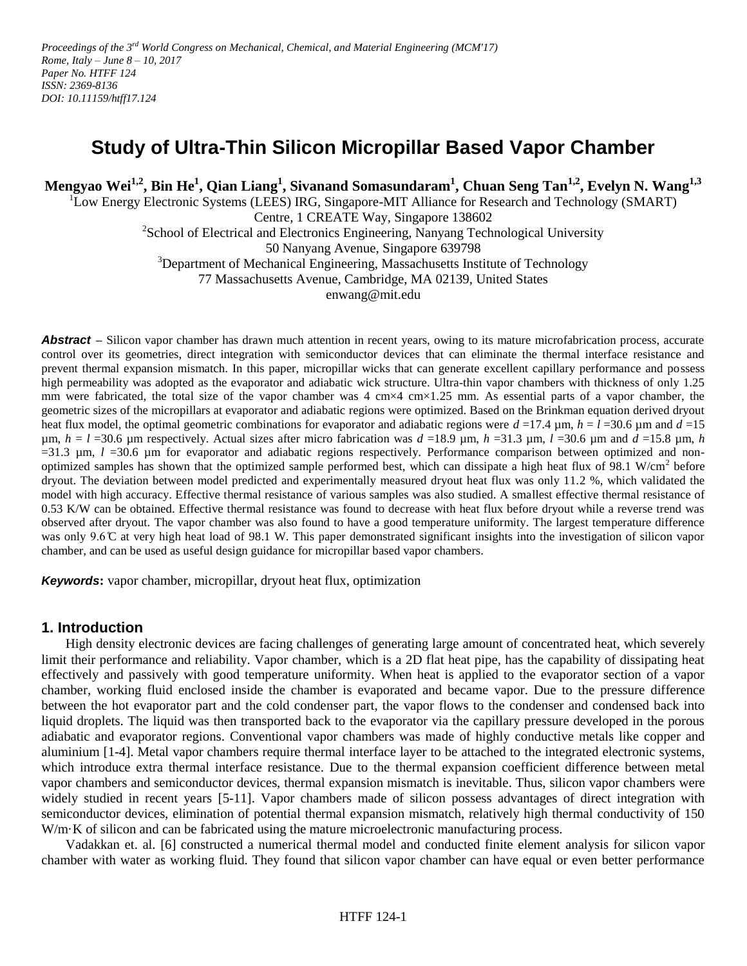# **Study of Ultra-Thin Silicon Micropillar Based Vapor Chamber**

**Mengyao Wei1,2, Bin He<sup>1</sup> , Qian Liang<sup>1</sup> , Sivanand Somasundaram<sup>1</sup> , Chuan Seng Tan1,2 , Evelyn N. Wang1,3**

<sup>1</sup>Low Energy Electronic Systems (LEES) IRG, Singapore-MIT Alliance for Research and Technology (SMART) Centre, 1 CREATE Way, Singapore 138602

<sup>2</sup>School of Electrical and Electronics Engineering, Nanyang Technological University 50 Nanyang Avenue, Singapore 639798

<sup>3</sup>Department of Mechanical Engineering, Massachusetts Institute of Technology

77 Massachusetts Avenue, Cambridge, MA 02139, United States

enwang@mit.edu

*Abstract* – Silicon vapor chamber has drawn much attention in recent years, owing to its mature microfabrication process, accurate control over its geometries, direct integration with semiconductor devices that can eliminate the thermal interface resistance and prevent thermal expansion mismatch. In this paper, micropillar wicks that can generate excellent capillary performance and possess high permeability was adopted as the evaporator and adiabatic wick structure. Ultra-thin vapor chambers with thickness of only 1.25 mm were fabricated, the total size of the vapor chamber was 4 cm×4 cm×1.25 mm. As essential parts of a vapor chamber, the geometric sizes of the micropillars at evaporator and adiabatic regions were optimized. Based on the Brinkman equation derived dryout heat flux model, the optimal geometric combinations for evaporator and adiabatic regions were  $d = 17.4$  µm,  $h = l = 30.6$  µm and  $d = 15$  $\mu$ m,  $h = l$  =30.6  $\mu$ m respectively. Actual sizes after micro fabrication was  $d = 18.9$   $\mu$ m,  $h = 31.3$   $\mu$ m,  $l = 30.6$   $\mu$ m and  $d = 15.8$   $\mu$ m,  $h$  $=31.3$   $\mu$ m,  $l = 30.6$   $\mu$ m for evaporator and adiabatic regions respectively. Performance comparison between optimized and nonoptimized samples has shown that the optimized sample performed best, which can dissipate a high heat flux of 98.1 W/cm<sup>2</sup> before dryout. The deviation between model predicted and experimentally measured dryout heat flux was only 11.2 %, which validated the model with high accuracy. Effective thermal resistance of various samples was also studied. A smallest effective thermal resistance of 0.53 K/W can be obtained. Effective thermal resistance was found to decrease with heat flux before dryout while a reverse trend was observed after dryout. The vapor chamber was also found to have a good temperature uniformity. The largest temperature difference was only 9.6 °C at very high heat load of 98.1 W. This paper demonstrated significant insights into the investigation of silicon vapor chamber, and can be used as useful design guidance for micropillar based vapor chambers.

*Keywords***:** vapor chamber, micropillar, dryout heat flux, optimization

### **1. Introduction**

High density electronic devices are facing challenges of generating large amount of concentrated heat, which severely limit their performance and reliability. Vapor chamber, which is a 2D flat heat pipe, has the capability of dissipating heat effectively and passively with good temperature uniformity. When heat is applied to the evaporator section of a vapor chamber, working fluid enclosed inside the chamber is evaporated and became vapor. Due to the pressure difference between the hot evaporator part and the cold condenser part, the vapor flows to the condenser and condensed back into liquid droplets. The liquid was then transported back to the evaporator via the capillary pressure developed in the porous adiabatic and evaporator regions. Conventional vapor chambers was made of highly conductive metals like copper and aluminium [\[1-4\]](#page-6-0). Metal vapor chambers require thermal interface layer to be attached to the integrated electronic systems, which introduce extra thermal interface resistance. Due to the thermal expansion coefficient difference between metal vapor chambers and semiconductor devices, thermal expansion mismatch is inevitable. Thus, silicon vapor chambers were widely studied in recent years [\[5-11\]](#page-6-1). Vapor chambers made of silicon possess advantages of direct integration with semiconductor devices, elimination of potential thermal expansion mismatch, relatively high thermal conductivity of 150 W/m·K of silicon and can be fabricated using the mature microelectronic manufacturing process.

Vadakkan et. al. [\[6\]](#page-6-2) constructed a numerical thermal model and conducted finite element analysis for silicon vapor chamber with water as working fluid. They found that silicon vapor chamber can have equal or even better performance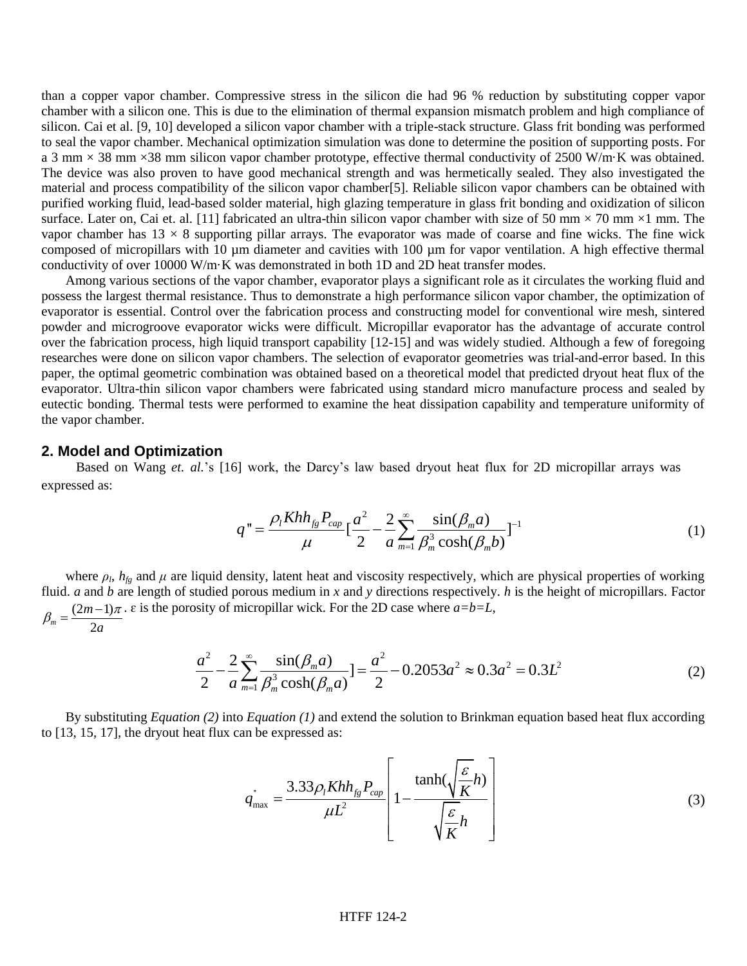than a copper vapor chamber. Compressive stress in the silicon die had 96 % reduction by substituting copper vapor chamber with a silicon one. This is due to the elimination of thermal expansion mismatch problem and high compliance of silicon. Cai et al. [\[9,](#page-6-3) [10\]](#page-6-4) developed a silicon vapor chamber with a triple-stack structure. Glass frit bonding was performed to seal the vapor chamber. Mechanical optimization simulation was done to determine the position of supporting posts. For a 3 mm  $\times$  38 mm  $\times$ 38 mm silicon vapor chamber prototype, effective thermal conductivity of 2500 W/m·K was obtained. The device was also proven to have good mechanical strength and was hermetically sealed. They also investigated the material and process compatibility of the silicon vapor chamber[\[5\]](#page-6-1). Reliable silicon vapor chambers can be obtained with purified working fluid, lead-based solder material, high glazing temperature in glass frit bonding and oxidization of silicon surface. Later on, Cai et. al. [\[11\]](#page-7-0) fabricated an ultra-thin silicon vapor chamber with size of 50 mm  $\times$  70 mm  $\times$ 1 mm. The vapor chamber has  $13 \times 8$  supporting pillar arrays. The evaporator was made of coarse and fine wicks. The fine wick composed of micropillars with 10 µm diameter and cavities with 100 µm for vapor ventilation. A high effective thermal conductivity of over 10000 W/m·K was demonstrated in both 1D and 2D heat transfer modes.

Among various sections of the vapor chamber, evaporator plays a significant role as it circulates the working fluid and possess the largest thermal resistance. Thus to demonstrate a high performance silicon vapor chamber, the optimization of evaporator is essential. Control over the fabrication process and constructing model for conventional wire mesh, sintered powder and microgroove evaporator wicks were difficult. Micropillar evaporator has the advantage of accurate control over the fabrication process, high liquid transport capability [\[12-15\]](#page-7-1) and was widely studied. Although a few of foregoing researches were done on silicon vapor chambers. The selection of evaporator geometries was trial-and-error based. In this paper, the optimal geometric combination was obtained based on a theoretical model that predicted dryout heat flux of the evaporator. Ultra-thin silicon vapor chambers were fabricated using standard micro manufacture process and sealed by eutectic bonding. Thermal tests were performed to examine the heat dissipation capability and temperature uniformity of the vapor chamber.

#### **2. Model and Optimization**

Based on Wang *et. al.*'s [\[16\]](#page-7-2) work, the Darcy's law based dryout heat flux for 2D micropillar arrays was sed as:<br>  $q'' = \frac{\rho_l Kh h_{fg} P_{cap}}{\mu} [\frac{a^2}{2} - \frac{2}{a} \sum_{m=1}^{\infty} \frac{\sin(\beta_m a)}{\beta_m^3 \cosh(\beta_m b)}]^{-1}$ expressed as:

$$
q'' = \frac{\rho_l K h h_{fg} P_{cap}}{\mu} \left[ \frac{a^2}{2} - \frac{2}{a} \sum_{m=1}^{\infty} \frac{\sin(\beta_m a)}{\beta_m^3 \cosh(\beta_m b)} \right]^{-1}
$$
(1)

where  $\rho_l$ ,  $h_{fg}$  and  $\mu$  are liquid density, latent heat and viscosity respectively, which are physical properties of working fluid. *a* and *b* are length of studied porous medium in *x* and *y* directions respectively. *h* is the height of micropillars. Factor  $\frac{u \ln 2}{(2m-1)}$  $m<sup>-</sup>$  2a *m a*  $\beta_m = \frac{(2m-1)\pi}{2a}$ .  $\varepsilon$  is the porosity of micropillar wick. For the 2D case where  $a=b=L$ ,<br>  $a^2 = 2 \sum_{m=1}^{\infty} \sin(\beta_m a) = 2 \sum_{m=1}^{\infty} \cos(2\beta_m a)$ porous medium in x and y directions respectively. h is the h<br>
i micropillar wick. For the 2D case where  $a=b=L$ ,<br>  $\frac{2}{a} \sum_{m=1}^{\infty} \frac{\sin(\beta_m a)}{\beta_m^3 \cosh(\beta_m a)} = \frac{a^2}{2} - 0.2053a^2 \approx 0.3a^2 = 0.3R$ andied porous medium in x and y d<br>sity of micropillar wick. For the 2D<br> $\frac{a^2}{2} - \frac{2}{a} \sum_{n=1}^{\infty} \frac{\sin(\beta_m a)}{\beta^3 \cosh(\beta_a)} = \frac{a^2}{2}$ 

situde provides medium in *x* and *y* directions respectively. *n* is the height of microp'lators. Factor  
positive of micropilar wick. For the 2D case where 
$$
a=b=L
$$
,  

$$
\frac{a^2}{2} - \frac{2}{a} \sum_{m=1}^{\infty} \frac{\sin(\beta_m a)}{\beta_m^3 \cosh(\beta_m a)} = \frac{a^2}{2} - 0.2053a^2 \approx 0.3a^2 = 0.3L^2
$$
(2)

By substituting *Equation (2)* into *Equation (1)* and extend the solution to Brinkman equation based heat flux according 3, 15, 17], the dryout heat flux can be expressed as:<br> $\begin{bmatrix} \tanh(\sqrt{\frac{\varepsilon}{h}}) \end{bmatrix}$ to [\[13,](#page-7-3) [15,](#page-7-4) [17\]](#page-7-5), the dryout heat flux can be expressed as:

$$
q_{\text{max}}^{\dagger} = \frac{3.33 \rho_1 K h h_{fg} P_{cap}}{\mu L^2} \left[ 1 - \frac{\tanh(\sqrt{\frac{\varepsilon}{K}} h)}{\sqrt{\frac{\varepsilon}{K}} h} \right]
$$
(3)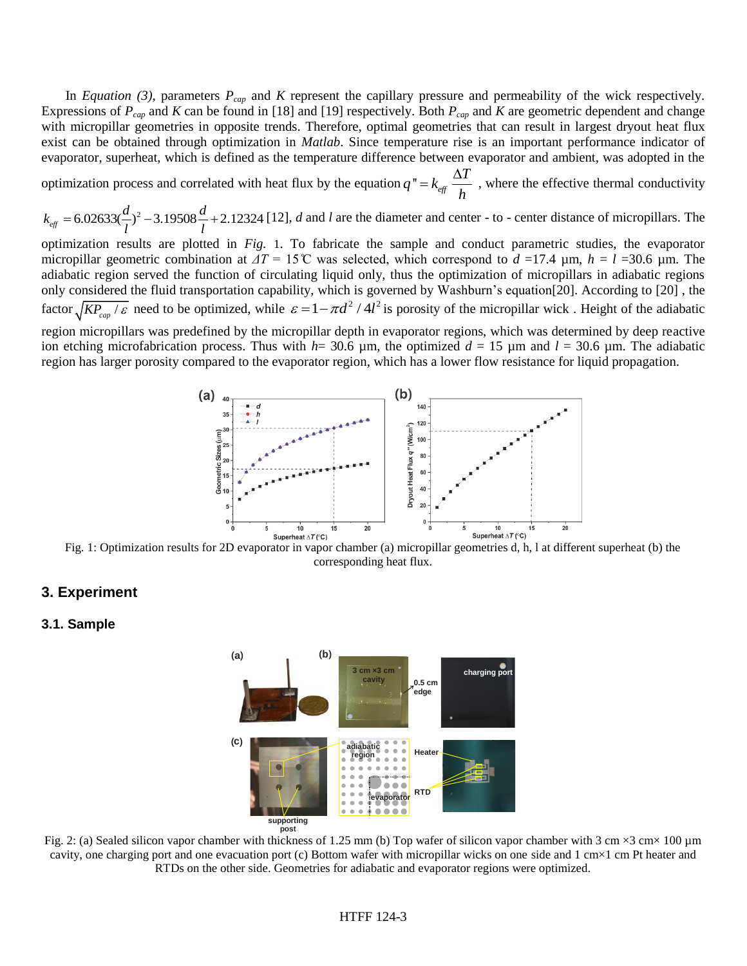In *Equation (3)*, parameters *Pcap* and *K* represent the capillary pressure and permeability of the wick respectively. Expressions of *Pcap* and *K* can be found in [\[18\]](#page-7-6) and [\[19\]](#page-7-7) respectively. Both *Pcap* and *K* are geometric dependent and change with micropillar geometries in opposite trends. Therefore, optimal geometries that can result in largest dryout heat flux exist can be obtained through optimization in *Matlab*. Since temperature rise is an important performance indicator of evaporator, superheat, which is defined as the temperature difference between evaporator and ambient, was adopted in the

optimization process and correlated with heat flux by the equation  $q'' = k_{\text{eff}}$  $q'' = k_{\text{eff}} \frac{\Delta T}{I}$ *h*  $= k_{\text{eff}} \frac{\Delta T}{\Delta t}$ , where the effective thermal conductivity

2  $k_{\text{eff}} = 6.02633(\frac{d}{l})^2 - 3.19508\frac{d}{l} + 2.12324$  $\frac{d}{l}$ <sup>2</sup> – 3.19508 $\frac{d}{l}$  $= 6.02633(\frac{d}{l})^2 - 3.19508\frac{d}{l} + 2.12324$  [\[12\]](#page-7-1), *d* and *l* are the diameter and center - to - center distance of micropillars. The

optimization results are plotted in *[Fig.](#page-2-0)* 1. To fabricate the sample and conduct parametric studies, the evaporator micropillar geometric combination at *ΔT* = 15 ̊C was selected, which correspond to *d* =17.4 µm, *h* = *l* =30.6 µm. The adiabatic region served the function of circulating liquid only, thus the optimization of micropillars in adiabatic regions only considered the fluid transportation capability, which is governed by Washburn's equation[\[20\]](#page-7-8). According to [\[20\]](#page-7-8) , the factor  $\sqrt{KP_{cap}/\varepsilon}$  need to be optimized, while  $\varepsilon = 1 - \pi d^2 / 4l^2$  is porosity of the micropillar wick. Height of the adiabatic region micropillars was predefined by the micropillar depth in evaporator regions, which was determined by deep reactive

ion etching microfabrication process. Thus with *h*= 30.6 µm, the optimized *d* = 15 µm and *l* = 30.6 µm. The adiabatic region has larger porosity compared to the evaporator region, which has a lower flow resistance for liquid propagation.



<span id="page-2-0"></span>Fig. 1: Optimization results for 2D evaporator in vapor chamber (a) micropillar geometries d, h, l at different superheat (b) the corresponding heat flux.

## **3. Experiment**

#### **3.1. Sample**



<span id="page-2-1"></span>Fig. 2: (a) Sealed silicon vapor chamber with thickness of 1.25 mm (b) Top wafer of silicon vapor chamber with 3 cm  $\times$ 3 cm $\times$  100 µm cavity, one charging port and one evacuation port (c) Bottom wafer with micropillar wicks on one side and 1 cm×1 cm Pt heater and RTDs on the other side. Geometries for adiabatic and evaporator regions were optimized.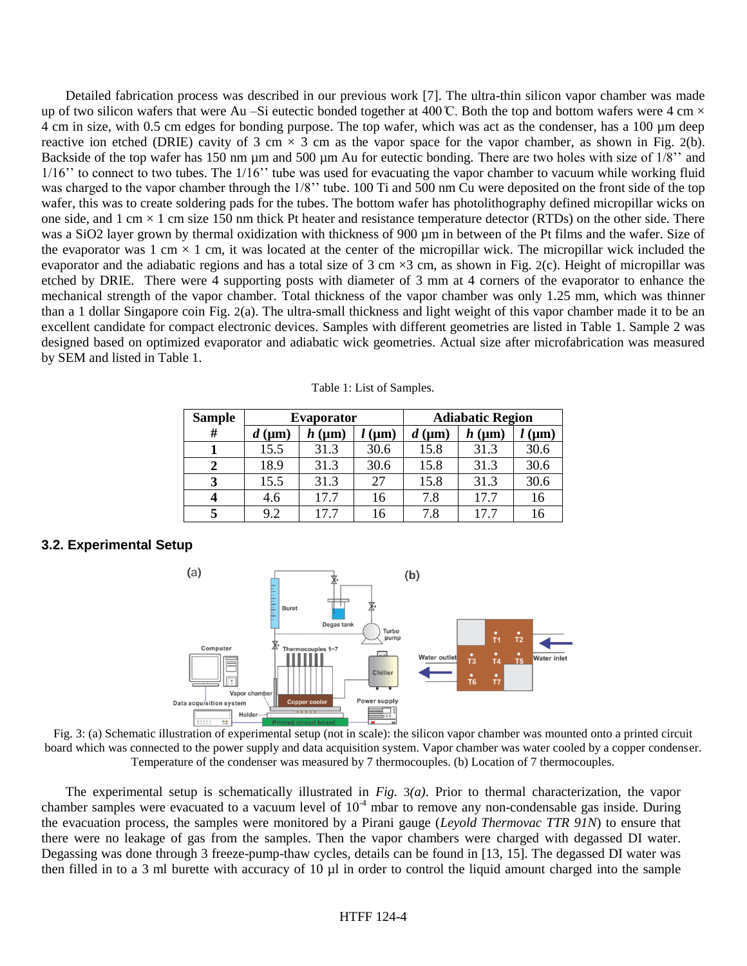Detailed fabrication process was described in our previous work [\[7\]](#page-6-5). The ultra-thin silicon vapor chamber was made up of two silicon wafers that were Au –Si eutectic bonded together at 400  $\mathbb{C}$ . Both the top and bottom wafers were 4 cm  $\times$ 4 cm in size, with 0.5 cm edges for bonding purpose. The top wafer, which was act as the condenser, has a 100 µm deep reactive ion etched (DRIE) cavity of 3 cm  $\times$  3 cm as the vapor space for the vapor chamber, as shown in [Fig.](#page-2-1) 2(b). Backside of the top wafer has 150 nm µm and 500 µm Au for eutectic bonding. There are two holes with size of 1/8" and 1/16'' to connect to two tubes. The 1/16'' tube was used for evacuating the vapor chamber to vacuum while working fluid was charged to the vapor chamber through the 1/8'' tube. 100 Ti and 500 nm Cu were deposited on the front side of the top wafer, this was to create soldering pads for the tubes. The bottom wafer has photolithography defined micropillar wicks on one side, and 1 cm  $\times$  1 cm size 150 nm thick Pt heater and resistance temperature detector (RTDs) on the other side. There was a SiO2 layer grown by thermal oxidization with thickness of 900 µm in between of the Pt films and the wafer. Size of the evaporator was 1 cm  $\times$  1 cm, it was located at the center of the micropillar wick. The micropillar wick included the evaporator and the adiabatic regions and has a total size of 3 cm  $\times$ 3 cm, as shown in [Fig.](#page-2-1) 2(c). Height of micropillar was etched by DRIE. There were 4 supporting posts with diameter of 3 mm at 4 corners of the evaporator to enhance the mechanical strength of the vapor chamber. Total thickness of the vapor chamber was only 1.25 mm, which was thinner than a 1 dollar Singapore coin [Fig.](#page-2-1) 2(a). The ultra-small thickness and light weight of this vapor chamber made it to be an excellent candidate for compact electronic devices. Samples with different geometries are listed in Table 1. Sample 2 was designed based on optimized evaporator and adiabatic wick geometries. Actual size after microfabrication was measured by SEM and listed in Table 1.

| Table 1: List of Samples. |  |  |  |  |
|---------------------------|--|--|--|--|
|---------------------------|--|--|--|--|

<span id="page-3-1"></span>

| <b>Sample</b> | <b>Evaporator</b> |                |              | <b>Adiabatic Region</b> |           |                    |
|---------------|-------------------|----------------|--------------|-------------------------|-----------|--------------------|
| #             | $(\mu m)$         | $h \, (\mu m)$ | $\mathbf{m}$ | $(\mu m)$               | $(\mu m)$ | $\mathbf{(\mu m)}$ |
|               | 15.5              | 31.3           | 30.6         | 15.8                    | 31.3      | 30.6               |
|               | 18.9              | 31.3           | 30.6         | 15.8                    | 31.3      | 30.6               |
| 3             | 15.5              | 31.3           | 27           | 15.8                    | 31.3      | 30.6               |
|               | 4.6               | 17.7           | 16           | 7.8                     | 17.7      | 16                 |
|               | 9.2               | 17.7           | 16           | 7.8                     | 17.7      | 16                 |

### **3.2. Experimental Setup**



<span id="page-3-0"></span>Fig. 3: (a) Schematic illustration of experimental setup (not in scale): the silicon vapor chamber was mounted onto a printed circuit board which was connected to the power supply and data acquisition system. Vapor chamber was water cooled by a copper condenser. Temperature of the condenser was measured by 7 thermocouples. (b) Location of 7 thermocouples.

The experimental setup is schematically illustrated in *[Fig.](#page-3-0)* 3*(a)*. Prior to thermal characterization, the vapor chamber samples were evacuated to a vacuum level of  $10<sup>-4</sup>$  mbar to remove any non-condensable gas inside. During the evacuation process, the samples were monitored by a Pirani gauge (*Leyold Thermovac TTR 91N*) to ensure that there were no leakage of gas from the samples. Then the vapor chambers were charged with degassed DI water. Degassing was done through 3 freeze-pump-thaw cycles, details can be found in [\[13,](#page-7-3) [15\]](#page-7-4). The degassed DI water was then filled in to a 3 ml burette with accuracy of 10 µl in order to control the liquid amount charged into the sample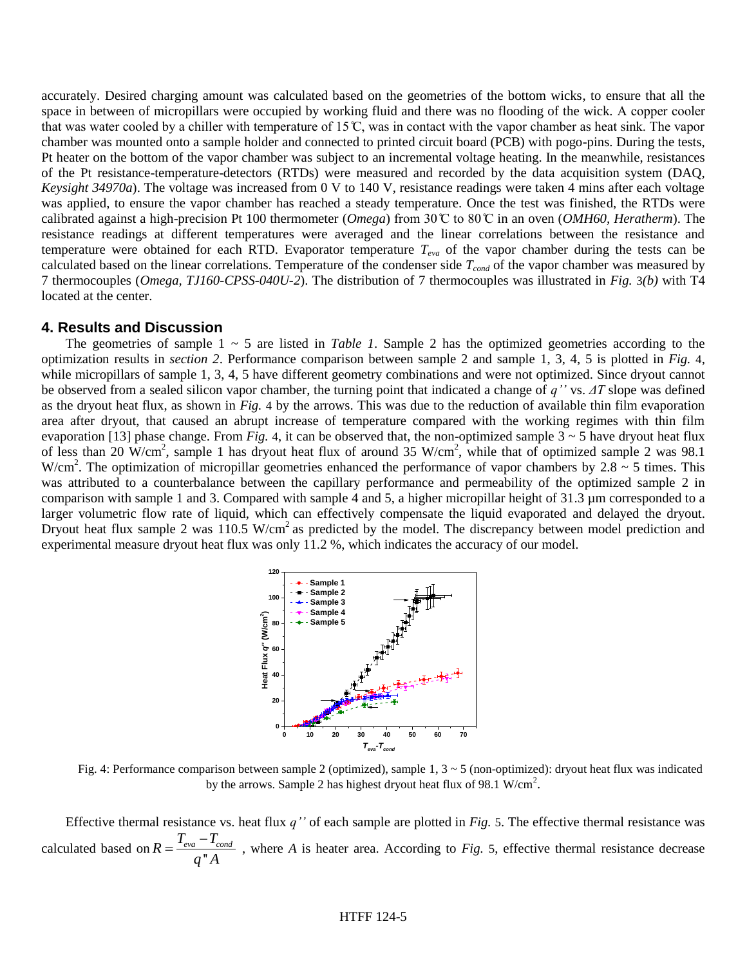accurately. Desired charging amount was calculated based on the geometries of the bottom wicks, to ensure that all the space in between of micropillars were occupied by working fluid and there was no flooding of the wick. A copper cooler that was water cooled by a chiller with temperature of 15 ̊C, was in contact with the vapor chamber as heat sink. The vapor chamber was mounted onto a sample holder and connected to printed circuit board (PCB) with pogo-pins. During the tests, Pt heater on the bottom of the vapor chamber was subject to an incremental voltage heating. In the meanwhile, resistances of the Pt resistance-temperature-detectors (RTDs) were measured and recorded by the data acquisition system (DAQ, *Keysight 34970a*). The voltage was increased from 0 V to 140 V, resistance readings were taken 4 mins after each voltage was applied, to ensure the vapor chamber has reached a steady temperature. Once the test was finished, the RTDs were calibrated against a high-precision Pt 100 thermometer (*Omega*) from 30 ̊C to 80 ̊C in an oven (*OMH60, Heratherm*). The resistance readings at different temperatures were averaged and the linear correlations between the resistance and temperature were obtained for each RTD. Evaporator temperature  $T_{eva}$  of the vapor chamber during the tests can be calculated based on the linear correlations. Temperature of the condenser side *Tcond* of the vapor chamber was measured by 7 thermocouples (*Omega, TJ160-CPSS-040U-2*). The distribution of 7 thermocouples was illustrated in *[Fig.](#page-3-0)* 3*(b)* with T4 located at the center.

### **4. Results and Discussion**

The geometries of sample 1 ~ 5 are listed in *[Table 1](#page-3-1)*. Sample 2 has the optimized geometries according to the optimization results in *section 2*. Performance comparison between sample 2 and sample 1, 3, 4, 5 is plotted in *[Fig.](#page-4-0)* 4, while micropillars of sample 1, 3, 4, 5 have different geometry combinations and were not optimized. Since dryout cannot be observed from a sealed silicon vapor chamber, the turning point that indicated a change of *q''* vs. *ΔT* slope was defined as the dryout heat flux, as shown in *[Fig.](#page-4-0)* 4 by the arrows. This was due to the reduction of available thin film evaporation area after dryout, that caused an abrupt increase of temperature compared with the working regimes with thin film evaporation [\[13\]](#page-7-3) phase change. From *[Fig.](#page-4-0)* 4, it can be observed that, the non-optimized sample  $3 \sim 5$  have dryout heat flux of less than 20  $\text{W/cm}^2$ , sample 1 has dryout heat flux of around 35 W/cm<sup>2</sup>, while that of optimized sample 2 was 98.1 W/cm<sup>2</sup>. The optimization of micropillar geometries enhanced the performance of vapor chambers by 2.8  $\sim$  5 times. This was attributed to a counterbalance between the capillary performance and permeability of the optimized sample 2 in comparison with sample 1 and 3. Compared with sample 4 and 5, a higher micropillar height of 31.3 µm corresponded to a larger volumetric flow rate of liquid, which can effectively compensate the liquid evaporated and delayed the dryout. Dryout heat flux sample 2 was  $110.5 \text{ W/cm}^2$  as predicted by the model. The discrepancy between model prediction and experimental measure dryout heat flux was only 11.2 %, which indicates the accuracy of our model.



<span id="page-4-0"></span>Fig. 4: Performance comparison between sample 2 (optimized), sample  $1, 3 \sim 5$  (non-optimized): dryout heat flux was indicated by the arrows. Sample 2 has highest dryout heat flux of 98.1 W/cm<sup>2</sup>.

Effective thermal resistance vs. heat flux *q''* of each sample are plotted in *[Fig.](#page-5-0)* 5. The effective thermal resistance was calculated based on  $R = \frac{T_{eva} - T_{cond}}{q''A}$  $q''A$  $=\frac{T_{\text{eva}} - T_{\text{cond}}}{T_{\text{eva}}}$ , where *A* is heater area. According to *[Fig.](#page-5-0)* 5, effective thermal resistance decrease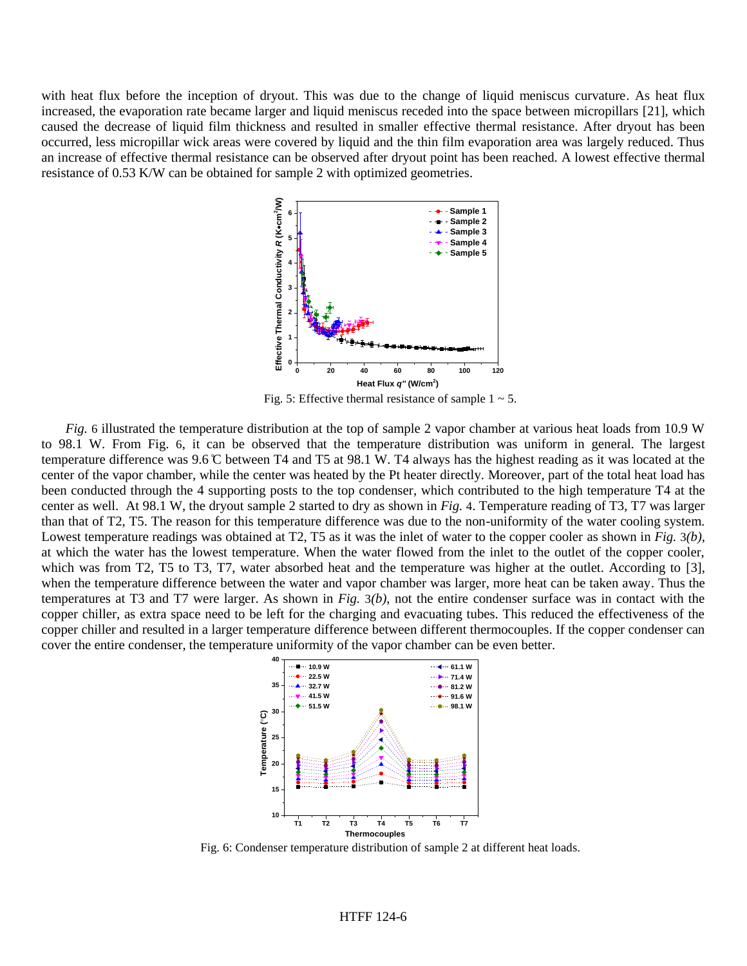with heat flux before the inception of dryout. This was due to the change of liquid meniscus curvature. As heat flux increased, the evaporation rate became larger and liquid meniscus receded into the space between micropillars [\[21\]](#page-7-9), which caused the decrease of liquid film thickness and resulted in smaller effective thermal resistance. After dryout has been occurred, less micropillar wick areas were covered by liquid and the thin film evaporation area was largely reduced. Thus an increase of effective thermal resistance can be observed after dryout point has been reached. A lowest effective thermal resistance of 0.53 K/W can be obtained for sample 2 with optimized geometries.



Fig. 5: Effective thermal resistance of sample  $1 \sim 5$ .

<span id="page-5-0"></span>*[Fig.](#page-5-1)* 6 illustrated the temperature distribution at the top of sample 2 vapor chamber at various heat loads from 10.9 W to 98.1 W. From [Fig.](#page-5-1) 6, it can be observed that the temperature distribution was uniform in general. The largest temperature difference was 9.6 ̊C between T4 and T5 at 98.1 W. T4 always has the highest reading as it was located at the center of the vapor chamber, while the center was heated by the Pt heater directly. Moreover, part of the total heat load has been conducted through the 4 supporting posts to the top condenser, which contributed to the high temperature T4 at the center as well. At 98.1 W, the dryout sample 2 started to dry as shown in *[Fig.](#page-4-0)* 4. Temperature reading of T3, T7 was larger than that of T2, T5. The reason for this temperature difference was due to the non-uniformity of the water cooling system. Lowest temperature readings was obtained at T2, T5 as it was the inlet of water to the copper cooler as shown in *[Fig.](#page-3-0)* 3*(b)*, at which the water has the lowest temperature. When the water flowed from the inlet to the outlet of the copper cooler, which was from T2, T5 to T3, T7, water absorbed heat and the temperature was higher at the outlet. According to [\[3\]](#page-6-6), when the temperature difference between the water and vapor chamber was larger, more heat can be taken away. Thus the temperatures at T3 and T7 were larger. As shown in *[Fig.](#page-3-0)* 3*(b)*, not the entire condenser surface was in contact with the copper chiller, as extra space need to be left for the charging and evacuating tubes. This reduced the effectiveness of the copper chiller and resulted in a larger temperature difference between different thermocouples. If the copper condenser can cover the entire condenser, the temperature uniformity of the vapor chamber can be even better.



<span id="page-5-1"></span>Fig. 6: Condenser temperature distribution of sample 2 at different heat loads.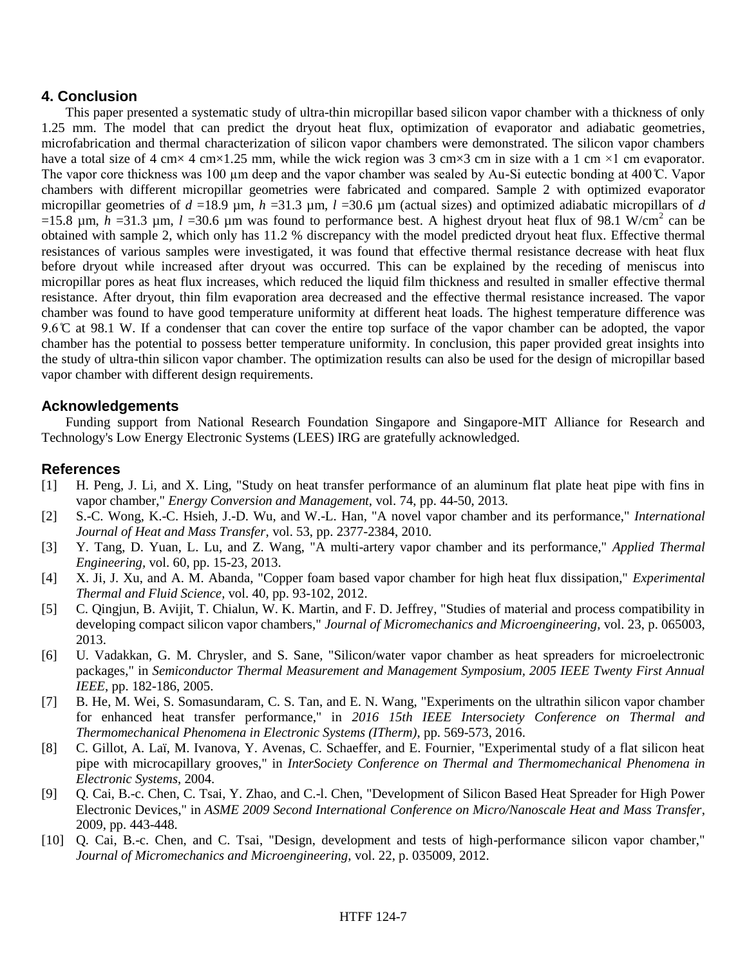## **4. Conclusion**

This paper presented a systematic study of ultra-thin micropillar based silicon vapor chamber with a thickness of only 1.25 mm. The model that can predict the dryout heat flux, optimization of evaporator and adiabatic geometries, microfabrication and thermal characterization of silicon vapor chambers were demonstrated. The silicon vapor chambers have a total size of 4 cm× 4 cm×1.25 mm, while the wick region was 3 cm×3 cm in size with a 1 cm ×1 cm evaporator. The vapor core thickness was 100  $\mu$ m deep and the vapor chamber was sealed by Au-Si eutectic bonding at 400 °C. Vapor chambers with different micropillar geometries were fabricated and compared. Sample 2 with optimized evaporator micropillar geometries of *d* =18.9 µm, *h* =31.3 µm, *l* =30.6 µm (actual sizes) and optimized adiabatic micropillars of *d* =15.8  $\mu$ m,  $h$  =31.3  $\mu$ m,  $l$  =30.6  $\mu$ m was found to performance best. A highest dryout heat flux of 98.1 W/cm<sup>2</sup> can be obtained with sample 2, which only has 11.2 % discrepancy with the model predicted dryout heat flux. Effective thermal resistances of various samples were investigated, it was found that effective thermal resistance decrease with heat flux before dryout while increased after dryout was occurred. This can be explained by the receding of meniscus into micropillar pores as heat flux increases, which reduced the liquid film thickness and resulted in smaller effective thermal resistance. After dryout, thin film evaporation area decreased and the effective thermal resistance increased. The vapor chamber was found to have good temperature uniformity at different heat loads. The highest temperature difference was 9.6  $\degree$  at 98.1 W. If a condenser that can cover the entire top surface of the vapor chamber can be adopted, the vapor chamber has the potential to possess better temperature uniformity. In conclusion, this paper provided great insights into the study of ultra-thin silicon vapor chamber. The optimization results can also be used for the design of micropillar based vapor chamber with different design requirements.

## **Acknowledgements**

Funding support from National Research Foundation Singapore and Singapore-MIT Alliance for Research and Technology's Low Energy Electronic Systems (LEES) IRG are gratefully acknowledged.

## **References**

- <span id="page-6-0"></span>[1] H. Peng, J. Li, and X. Ling, "Study on heat transfer performance of an aluminum flat plate heat pipe with fins in vapor chamber," *Energy Conversion and Management,* vol. 74, pp. 44-50, 2013.
- [2] S.-C. Wong, K.-C. Hsieh, J.-D. Wu, and W.-L. Han, "A novel vapor chamber and its performance," *International Journal of Heat and Mass Transfer,* vol. 53, pp. 2377-2384, 2010.
- <span id="page-6-6"></span>[3] Y. Tang, D. Yuan, L. Lu, and Z. Wang, "A multi-artery vapor chamber and its performance," *Applied Thermal Engineering,* vol. 60, pp. 15-23, 2013.
- [4] X. Ji, J. Xu, and A. M. Abanda, "Copper foam based vapor chamber for high heat flux dissipation," *Experimental Thermal and Fluid Science,* vol. 40, pp. 93-102, 2012.
- <span id="page-6-1"></span>[5] C. Qingjun, B. Avijit, T. Chialun, W. K. Martin, and F. D. Jeffrey, "Studies of material and process compatibility in developing compact silicon vapor chambers," *Journal of Micromechanics and Microengineering,* vol. 23, p. 065003, 2013.
- <span id="page-6-2"></span>[6] U. Vadakkan, G. M. Chrysler, and S. Sane, "Silicon/water vapor chamber as heat spreaders for microelectronic packages," in *Semiconductor Thermal Measurement and Management Symposium, 2005 IEEE Twenty First Annual IEEE*, pp. 182-186, 2005.
- <span id="page-6-5"></span>[7] B. He, M. Wei, S. Somasundaram, C. S. Tan, and E. N. Wang, "Experiments on the ultrathin silicon vapor chamber for enhanced heat transfer performance," in *2016 15th IEEE Intersociety Conference on Thermal and Thermomechanical Phenomena in Electronic Systems (ITherm)*, pp. 569-573, 2016.
- [8] C. Gillot, A. Laï, M. Ivanova, Y. Avenas, C. Schaeffer, and E. Fournier, "Experimental study of a flat silicon heat pipe with microcapillary grooves," in *InterSociety Conference on Thermal and Thermomechanical Phenomena in Electronic Systems*, 2004.
- <span id="page-6-3"></span>[9] Q. Cai, B.-c. Chen, C. Tsai, Y. Zhao, and C.-l. Chen, "Development of Silicon Based Heat Spreader for High Power Electronic Devices," in *ASME 2009 Second International Conference on Micro/Nanoscale Heat and Mass Transfer*, 2009, pp. 443-448.
- <span id="page-6-4"></span>[10] Q. Cai, B.-c. Chen, and C. Tsai, "Design, development and tests of high-performance silicon vapor chamber," *Journal of Micromechanics and Microengineering,* vol. 22, p. 035009, 2012.